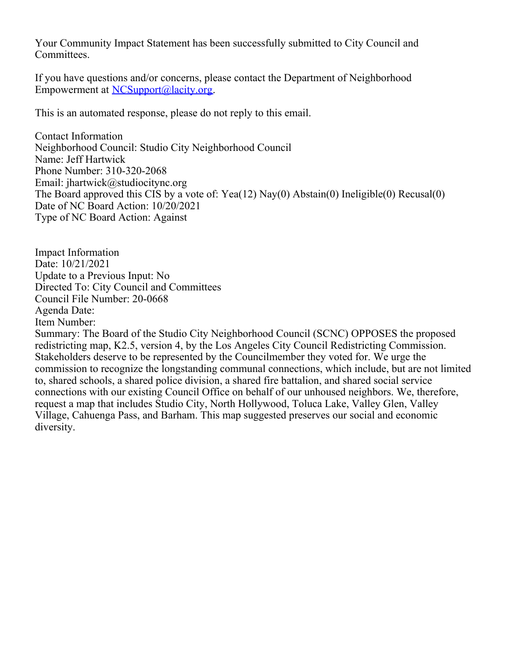Your Community Impact Statement has been successfully submitted to City Council and Committees.

If you have questions and/or concerns, please contact the Department of Neighborhood Empowerment at [NCSupport@lacity.org](mailto:NCSupport@lacity.org).

This is an automated response, please do not reply to this email.

Contact Information Neighborhood Council: Studio City Neighborhood Council Name: Jeff Hartwick Phone Number: 310-320-2068 Email: jhartwick@studiocitync.org The Board approved this CIS by a vote of: Yea(12) Nay(0) Abstain(0) Ineligible(0) Recusal(0) Date of NC Board Action: 10/20/2021 Type of NC Board Action: Against

Impact Information Date: 10/21/2021 Update to a Previous Input: No Directed To: City Council and Committees Council File Number: 20-0668 Agenda Date: Item Number:

Summary: The Board of the Studio City Neighborhood Council (SCNC) OPPOSES the proposed redistricting map, K2.5, version 4, by the Los Angeles City Council Redistricting Commission. Stakeholders deserve to be represented by the Councilmember they voted for. We urge the commission to recognize the longstanding communal connections, which include, but are not limited to, shared schools, a shared police division, a shared fire battalion, and shared social service connections with our existing Council Office on behalf of our unhoused neighbors. We, therefore, request a map that includes Studio City, North Hollywood, Toluca Lake, Valley Glen, Valley Village, Cahuenga Pass, and Barham. This map suggested preserves our social and economic diversity.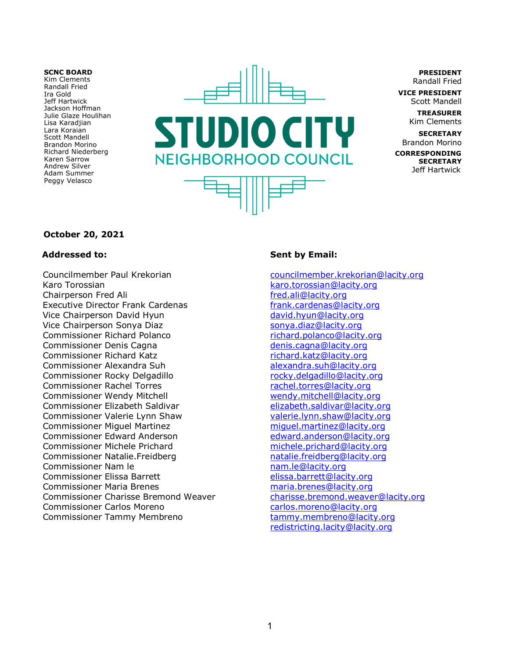#### **SCNC BOARD**

Kim Clements Randall Fried Ira Gold Jeff Hartwick Jackson Hoffman Julie Glaze Houlihan Lisa Karadjian Lara Koraian Scott Mandell **Brandon Morino** Richard Niederberg Karen Sarrow Andrew Silver Adam Summer Peggy Velasco



**PRESIDENT Randall Fried** 

**VICE PRESIDENT** Scott Mandell

> **TREASURER** Kim Clements

**SECRETARY Brandon Morino CORRESPONDING SECRETARY** Jeff Hartwick

### **October 20, 2021**

### **Addressed to:**

Councilmember Paul Krekorian Karo Torossian Chairperson Fred Ali **Executive Director Frank Cardenas** Vice Chairperson David Hyun Vice Chairperson Sonya Diaz **Commissioner Richard Polanco** Commissioner Denis Cagna **Commissioner Richard Katz** Commissioner Alexandra Suh Commissioner Rocky Delgadillo **Commissioner Rachel Torres Commissioner Wendy Mitchell** Commissioner Elizabeth Saldivar Commissioner Valerie Lynn Shaw **Commissioner Miquel Martinez** Commissioner Edward Anderson Commissioner Michele Prichard Commissioner Natalie.Freidberg Commissioner Nam le **Commissioner Elissa Barrett Commissioner Maria Brenes Commissioner Charisse Bremond Weaver Commissioner Carlos Moreno** Commissioner Tammy Membreno

## **Sent by Email:**

councilmember.krekorian@lacity.org karo.torossian@lacity.org fred.ali@lacity.org frank.cardenas@lacity.org david.hyun@lacity.org sonya.diaz@lacity.org richard.polanco@lacity.org denis.cagna@lacity.org richard.katz@lacity.org alexandra.suh@lacity.org rocky.delgadillo@lacity.org rachel.torres@lacity.org wendy.mitchell@lacity.org elizabeth.saldivar@lacity.org valerie.lynn.shaw@lacity.org miguel.martinez@lacity.org edward.anderson@lacity.org michele.prichard@lacity.org natalie.freidberg@lacity.org nam.le@lacity.org elissa.barrett@lacity.org maria.brenes@lacity.org charisse.bremond.weaver@lacity.org carlos.moreno@lacity.org tammy.membreno@lacity.org redistricting.lacity@lacity.org